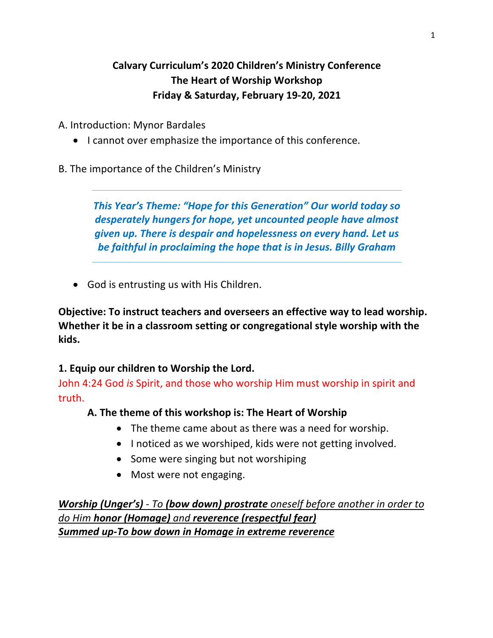# **Calvary Curriculum's 2020 Children's Ministry Conference The Heart of Worship Workshop Friday & Saturday, February 19-20, 2021**

A. Introduction: Mynor Bardales

- I cannot over emphasize the importance of this conference.
- B. The importance of the Children's Ministry

*This Year's Theme: "Hope for this Generation" Our world today so desperately hungers for hope, yet uncounted people have almost given up. There is despair and hopelessness on every hand. Let us be faithful in proclaiming the hope that is in Jesus. Billy Graham*

• God is entrusting us with His Children.

**Objective: To instruct teachers and overseers an effective way to lead worship. Whether it be in a classroom setting or congregational style worship with the kids.** 

## **1. Equip our children to Worship the Lord.**

John 4:24 God *is* Spirit, and those who worship Him must worship in spirit and truth.

## **A. The theme of this workshop is: The Heart of Worship**

- The theme came about as there was a need for worship.
- I noticed as we worshiped, kids were not getting involved.
- Some were singing but not worshiping
- Most were not engaging.

*Worship (Unger's) - To (bow down) prostrate oneself before another in order to do Him honor (Homage) and reverence (respectful fear) Summed up-To bow down in Homage in extreme reverence*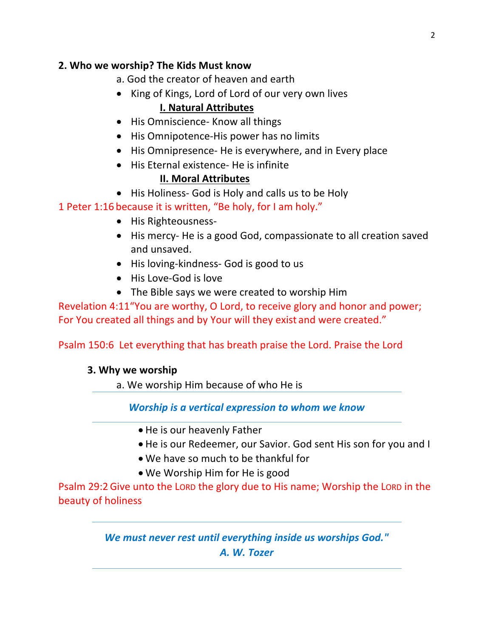## **2. Who we worship? The Kids Must know**

- a. God the creator of heaven and earth
- King of Kings, Lord of Lord of our very own lives **I. Natural Attributes**
- His Omniscience- Know all things
- His Omnipotence-His power has no limits
- His Omnipresence- He is everywhere, and in Every place
- His Eternal existence- He is infinite **II. Moral Attributes**
- His Holiness- God is Holy and calls us to be Holy

1 Peter 1:16 because it is written, "Be holy, for I am holy."

- His Righteousness-
- His mercy- He is a good God, compassionate to all creation saved and unsaved.
- His loving-kindness- God is good to us
- His Love-God is love
- The Bible says we were created to worship Him

Revelation 4:11"You are worthy, O Lord, to receive glory and honor and power; For You created all things and by Your will they exist and were created."

Psalm 150:6 Let everything that has breath praise the Lord. Praise the Lord

## **3. Why we worship**

a. We worship Him because of who He is

*Worship is a vertical expression to whom we know*

- He is our heavenly Father
- He is our Redeemer, our Savior. God sent His son for you and I
- We have so much to be thankful for
- We Worship Him for He is good

Psalm 29:2Give unto the LORD the glory due to His name; Worship the LORD in the beauty of holiness

> *We must never rest until everything inside us worships God." A. W. Tozer*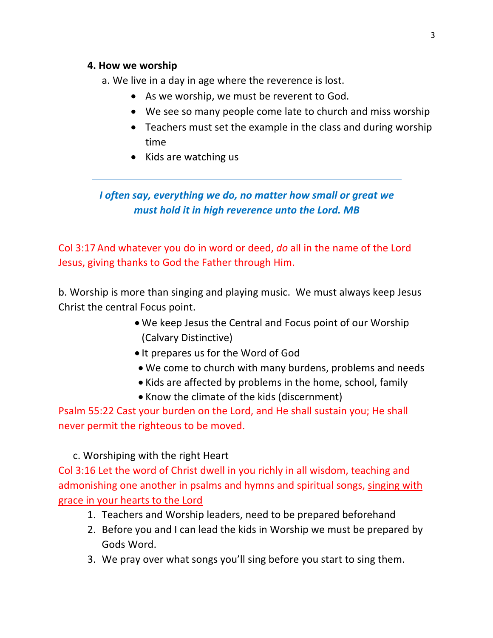#### **4. How we worship**

a. We live in a day in age where the reverence is lost.

- As we worship, we must be reverent to God.
- We see so many people come late to church and miss worship
- Teachers must set the example in the class and during worship time
- Kids are watching us

*I often say, everything we do, no matter how small or great we must hold it in high reverence unto the Lord. MB*

Col 3:17 And whatever you do in word or deed, *do* all in the name of the Lord Jesus, giving thanks to God the Father through Him.

b. Worship is more than singing and playing music. We must always keep Jesus Christ the central Focus point.

- We keep Jesus the Central and Focus point of our Worship (Calvary Distinctive)
- It prepares us for the Word of God
- We come to church with many burdens, problems and needs
- Kids are affected by problems in the home, school, family
- Know the climate of the kids (discernment)

Psalm 55:22 Cast your burden on the Lord, and He shall sustain you; He shall never permit the righteous to be moved.

## c. Worshiping with the right Heart

Col 3:16 Let the word of Christ dwell in you richly in all wisdom, teaching and admonishing one another in psalms and hymns and spiritual songs, singing with grace in your hearts to the Lord

- 1. Teachers and Worship leaders, need to be prepared beforehand
- 2. Before you and I can lead the kids in Worship we must be prepared by Gods Word.
- 3. We pray over what songs you'll sing before you start to sing them.